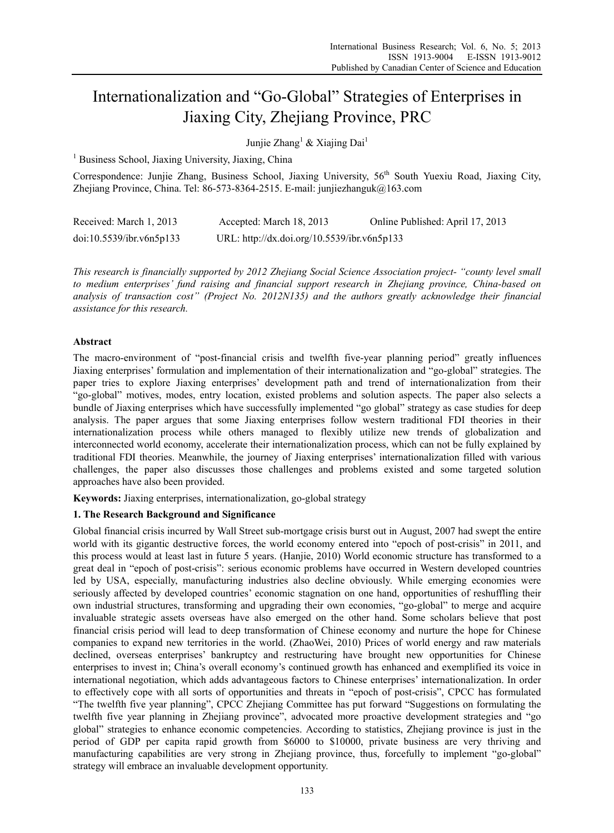# Internationalization and "Go-Global" Strategies of Enterprises in Jiaxing City, Zhejiang Province, PRC

Junjie Zhang<sup>1</sup> & Xiajing Dai<sup>1</sup>

<sup>1</sup> Business School, Jiaxing University, Jiaxing, China

Correspondence: Junije Zhang, Business School, Jiaxing University, 56<sup>th</sup> South Yuexiu Road, Jiaxing City, Zhejiang Province, China. Tel: 86-573-8364-2515. E-mail: junijezhanguk@163.com

| Received: March 1, 2013  | Accepted: March 18, 2013                    | Online Published: April 17, 2013 |
|--------------------------|---------------------------------------------|----------------------------------|
| doi:10.5539/ibr.v6n5p133 | URL: http://dx.doi.org/10.5539/ibr.v6n5p133 |                                  |

*This research is financially supported by 2012 Zhejiang Social Science Association project- "county level small to medium enterprises' fund raising and financial support research in Zhejiang province, China-based on analysis of transaction cost" (Project No. 2012N135) and the authors greatly acknowledge their financial assistance for this research.* 

# **Abstract**

The macro-environment of "post-financial crisis and twelfth five-year planning period" greatly influences Jiaxing enterprises' formulation and implementation of their internationalization and "go-global" strategies. The paper tries to explore Jiaxing enterprises' development path and trend of internationalization from their "go-global" motives, modes, entry location, existed problems and solution aspects. The paper also selects a bundle of Jiaxing enterprises which have successfully implemented "go global" strategy as case studies for deep analysis. The paper argues that some Jiaxing enterprises follow western traditional FDI theories in their internationalization process while others managed to flexibly utilize new trends of globalization and interconnected world economy, accelerate their internationalization process, which can not be fully explained by traditional FDI theories. Meanwhile, the journey of Jiaxing enterprises' internationalization filled with various challenges, the paper also discusses those challenges and problems existed and some targeted solution approaches have also been provided.

**Keywords:** Jiaxing enterprises, internationalization, go-global strategy

# **1. The Research Background and Significance**

Global financial crisis incurred by Wall Street sub-mortgage crisis burst out in August, 2007 had swept the entire world with its gigantic destructive forces, the world economy entered into "epoch of post-crisis" in 2011, and this process would at least last in future 5 years. (Hanjie, 2010) World economic structure has transformed to a great deal in "epoch of post-crisis": serious economic problems have occurred in Western developed countries led by USA, especially, manufacturing industries also decline obviously. While emerging economies were seriously affected by developed countries' economic stagnation on one hand, opportunities of reshuffling their own industrial structures, transforming and upgrading their own economies, "go-global" to merge and acquire invaluable strategic assets overseas have also emerged on the other hand. Some scholars believe that post financial crisis period will lead to deep transformation of Chinese economy and nurture the hope for Chinese companies to expand new territories in the world. (ZhaoWei, 2010) Prices of world energy and raw materials declined, overseas enterprises' bankruptcy and restructuring have brought new opportunities for Chinese enterprises to invest in; China's overall economy's continued growth has enhanced and exemplified its voice in international negotiation, which adds advantageous factors to Chinese enterprises' internationalization. In order to effectively cope with all sorts of opportunities and threats in "epoch of post-crisis", CPCC has formulated "The twelfth five year planning", CPCC Zhejiang Committee has put forward "Suggestions on formulating the twelfth five year planning in Zhejiang province", advocated more proactive development strategies and "go global" strategies to enhance economic competencies. According to statistics, Zhejiang province is just in the period of GDP per capita rapid growth from \$6000 to \$10000, private business are very thriving and manufacturing capabilities are very strong in Zhejiang province, thus, forcefully to implement "go-global" strategy will embrace an invaluable development opportunity.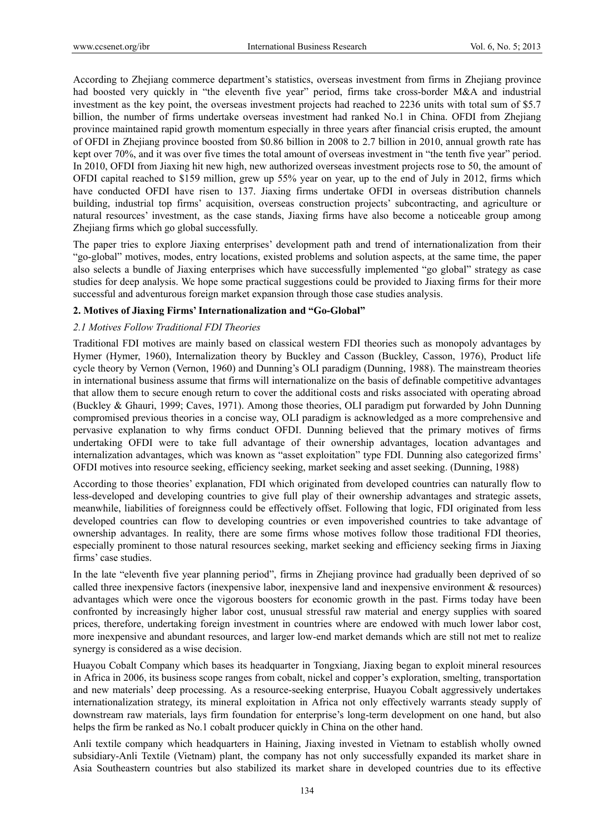According to Zhejiang commerce department's statistics, overseas investment from firms in Zhejiang province had boosted very quickly in "the eleventh five year" period, firms take cross-border M&A and industrial investment as the key point, the overseas investment projects had reached to 2236 units with total sum of \$5.7 billion, the number of firms undertake overseas investment had ranked No.1 in China. OFDI from Zhejiang province maintained rapid growth momentum especially in three years after financial crisis erupted, the amount of OFDI in Zhejiang province boosted from \$0.86 billion in 2008 to 2.7 billion in 2010, annual growth rate has kept over 70%, and it was over five times the total amount of overseas investment in "the tenth five year" period. In 2010, OFDI from Jiaxing hit new high, new authorized overseas investment projects rose to 50, the amount of OFDI capital reached to \$159 million, grew up 55% year on year, up to the end of July in 2012, firms which have conducted OFDI have risen to 137. Jiaxing firms undertake OFDI in overseas distribution channels building, industrial top firms' acquisition, overseas construction projects' subcontracting, and agriculture or natural resources' investment, as the case stands, Jiaxing firms have also become a noticeable group among Zhejiang firms which go global successfully.

The paper tries to explore Jiaxing enterprises' development path and trend of internationalization from their "go-global" motives, modes, entry locations, existed problems and solution aspects, at the same time, the paper also selects a bundle of Jiaxing enterprises which have successfully implemented "go global" strategy as case studies for deep analysis. We hope some practical suggestions could be provided to Jiaxing firms for their more successful and adventurous foreign market expansion through those case studies analysis.

## **2. Motives of Jiaxing Firms' Internationalization and "Go-Global"**

#### *2.1 Motives Follow Traditional FDI Theories*

Traditional FDI motives are mainly based on classical western FDI theories such as monopoly advantages by Hymer (Hymer, 1960), Internalization theory by Buckley and Casson (Buckley, Casson, 1976), Product life cycle theory by Vernon (Vernon, 1960) and Dunning's OLI paradigm (Dunning, 1988). The mainstream theories in international business assume that firms will internationalize on the basis of definable competitive advantages that allow them to secure enough return to cover the additional costs and risks associated with operating abroad (Buckley & Ghauri, 1999; Caves, 1971). Among those theories, OLI paradigm put forwarded by John Dunning compromised previous theories in a concise way, OLI paradigm is acknowledged as a more comprehensive and pervasive explanation to why firms conduct OFDI. Dunning believed that the primary motives of firms undertaking OFDI were to take full advantage of their ownership advantages, location advantages and internalization advantages, which was known as "asset exploitation" type FDI. Dunning also categorized firms' OFDI motives into resource seeking, efficiency seeking, market seeking and asset seeking. (Dunning, 1988)

According to those theories' explanation, FDI which originated from developed countries can naturally flow to less-developed and developing countries to give full play of their ownership advantages and strategic assets, meanwhile, liabilities of foreignness could be effectively offset. Following that logic, FDI originated from less developed countries can flow to developing countries or even impoverished countries to take advantage of ownership advantages. In reality, there are some firms whose motives follow those traditional FDI theories, especially prominent to those natural resources seeking, market seeking and efficiency seeking firms in Jiaxing firms' case studies.

In the late "eleventh five year planning period", firms in Zhejiang province had gradually been deprived of so called three inexpensive factors (inexpensive labor, inexpensive land and inexpensive environment & resources) advantages which were once the vigorous boosters for economic growth in the past. Firms today have been confronted by increasingly higher labor cost, unusual stressful raw material and energy supplies with soared prices, therefore, undertaking foreign investment in countries where are endowed with much lower labor cost, more inexpensive and abundant resources, and larger low-end market demands which are still not met to realize synergy is considered as a wise decision.

Huayou Cobalt Company which bases its headquarter in Tongxiang, Jiaxing began to exploit mineral resources in Africa in 2006, its business scope ranges from cobalt, nickel and copper's exploration, smelting, transportation and new materials' deep processing. As a resource-seeking enterprise, Huayou Cobalt aggressively undertakes internationalization strategy, its mineral exploitation in Africa not only effectively warrants steady supply of downstream raw materials, lays firm foundation for enterprise's long-term development on one hand, but also helps the firm be ranked as No.1 cobalt producer quickly in China on the other hand.

Anli textile company which headquarters in Haining, Jiaxing invested in Vietnam to establish wholly owned subsidiary-Anli Textile (Vietnam) plant, the company has not only successfully expanded its market share in Asia Southeastern countries but also stabilized its market share in developed countries due to its effective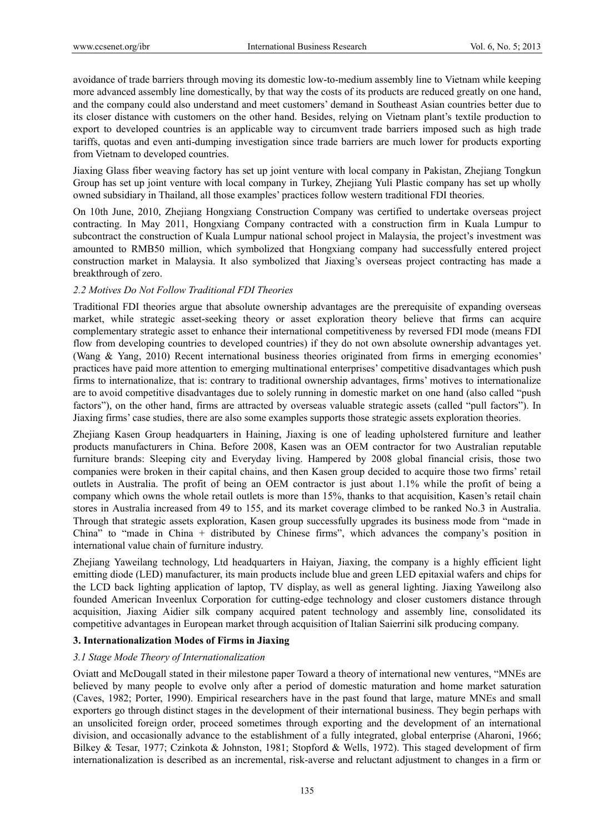avoidance of trade barriers through moving its domestic low-to-medium assembly line to Vietnam while keeping more advanced assembly line domestically, by that way the costs of its products are reduced greatly on one hand, and the company could also understand and meet customers' demand in Southeast Asian countries better due to its closer distance with customers on the other hand. Besides, relying on Vietnam plant's textile production to export to developed countries is an applicable way to circumvent trade barriers imposed such as high trade tariffs, quotas and even anti-dumping investigation since trade barriers are much lower for products exporting from Vietnam to developed countries.

Jiaxing Glass fiber weaving factory has set up joint venture with local company in Pakistan, Zhejiang Tongkun Group has set up joint venture with local company in Turkey, Zhejiang Yuli Plastic company has set up wholly owned subsidiary in Thailand, all those examples' practices follow western traditional FDI theories.

On 10th June, 2010, Zhejiang Hongxiang Construction Company was certified to undertake overseas project contracting. In May 2011, Hongxiang Company contracted with a construction firm in Kuala Lumpur to subcontract the construction of Kuala Lumpur national school project in Malaysia, the project's investment was amounted to RMB50 million, which symbolized that Hongxiang company had successfully entered project construction market in Malaysia. It also symbolized that Jiaxing's overseas project contracting has made a breakthrough of zero.

# *2.2 Motives Do Not Follow Traditional FDI Theories*

Traditional FDI theories argue that absolute ownership advantages are the prerequisite of expanding overseas market, while strategic asset-seeking theory or asset exploration theory believe that firms can acquire complementary strategic asset to enhance their international competitiveness by reversed FDI mode (means FDI flow from developing countries to developed countries) if they do not own absolute ownership advantages yet. (Wang & Yang, 2010) Recent international business theories originated from firms in emerging economies' practices have paid more attention to emerging multinational enterprises' competitive disadvantages which push firms to internationalize, that is: contrary to traditional ownership advantages, firms' motives to internationalize are to avoid competitive disadvantages due to solely running in domestic market on one hand (also called "push factors"), on the other hand, firms are attracted by overseas valuable strategic assets (called "pull factors"). In Jiaxing firms' case studies, there are also some examples supports those strategic assets exploration theories.

Zhejiang Kasen Group headquarters in Haining, Jiaxing is one of leading upholstered furniture and leather products manufacturers in China. Before 2008, Kasen was an OEM contractor for two Australian reputable furniture brands: Sleeping city and Everyday living. Hampered by 2008 global financial crisis, those two companies were broken in their capital chains, and then Kasen group decided to acquire those two firms' retail outlets in Australia. The profit of being an OEM contractor is just about 1.1% while the profit of being a company which owns the whole retail outlets is more than 15%, thanks to that acquisition, Kasen's retail chain stores in Australia increased from 49 to 155, and its market coverage climbed to be ranked No.3 in Australia. Through that strategic assets exploration, Kasen group successfully upgrades its business mode from "made in China" to "made in China + distributed by Chinese firms", which advances the company's position in international value chain of furniture industry.

Zhejiang Yaweilang technology, Ltd headquarters in Haiyan, Jiaxing, the company is a highly efficient light emitting diode (LED) manufacturer, its main products include blue and green LED epitaxial wafers and chips for the LCD back lighting application of laptop, TV display, as well as general lighting. Jiaxing Yaweilong also founded American Inveenlux Corporation for cutting-edge technology and closer customers distance through acquisition, Jiaxing Aidier silk company acquired patent technology and assembly line, consolidated its competitive advantages in European market through acquisition of Italian Saierrini silk producing company.

## **3. Internationalization Modes of Firms in Jiaxing**

## *3.1 Stage Mode Theory of Internationalization*

Oviatt and McDougall stated in their milestone paper Toward a theory of international new ventures, "MNEs are believed by many people to evolve only after a period of domestic maturation and home market saturation (Caves, 1982; Porter, 1990). Empirical researchers have in the past found that large, mature MNEs and small exporters go through distinct stages in the development of their international business. They begin perhaps with an unsolicited foreign order, proceed sometimes through exporting and the development of an international division, and occasionally advance to the establishment of a fully integrated, global enterprise (Aharoni, 1966; Bilkey & Tesar, 1977; Czinkota & Johnston, 1981; Stopford & Wells, 1972). This staged development of firm internationalization is described as an incremental, risk-averse and reluctant adjustment to changes in a firm or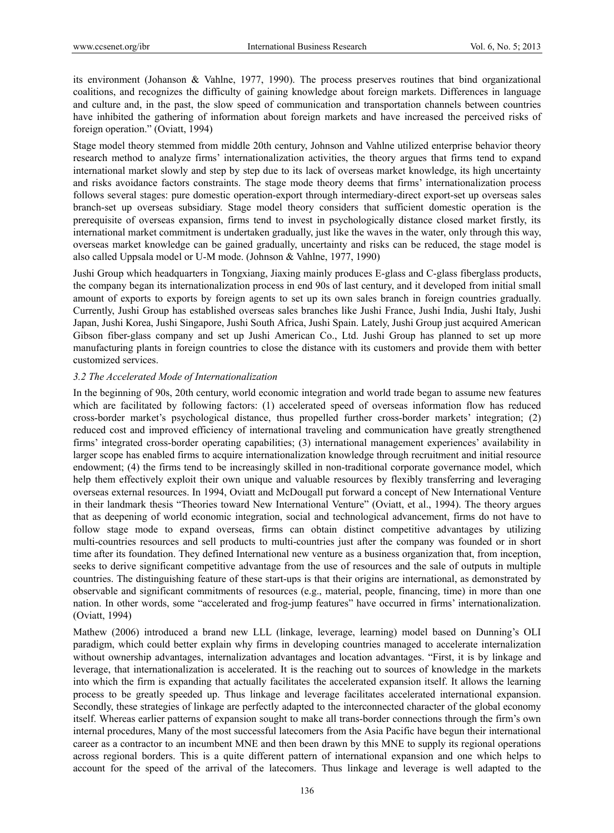its environment (Johanson & Vahlne, 1977, 1990). The process preserves routines that bind organizational coalitions, and recognizes the difficulty of gaining knowledge about foreign markets. Differences in language and culture and, in the past, the slow speed of communication and transportation channels between countries have inhibited the gathering of information about foreign markets and have increased the perceived risks of foreign operation." (Oviatt, 1994)

Stage model theory stemmed from middle 20th century, Johnson and Vahlne utilized enterprise behavior theory research method to analyze firms' internationalization activities, the theory argues that firms tend to expand international market slowly and step by step due to its lack of overseas market knowledge, its high uncertainty and risks avoidance factors constraints. The stage mode theory deems that firms' internationalization process follows several stages: pure domestic operation-export through intermediary-direct export-set up overseas sales branch-set up overseas subsidiary. Stage model theory considers that sufficient domestic operation is the prerequisite of overseas expansion, firms tend to invest in psychologically distance closed market firstly, its international market commitment is undertaken gradually, just like the waves in the water, only through this way, overseas market knowledge can be gained gradually, uncertainty and risks can be reduced, the stage model is also called Uppsala model or U-M mode. (Johnson & Vahlne, 1977, 1990)

Jushi Group which headquarters in Tongxiang, Jiaxing mainly produces E-glass and C-glass fiberglass products, the company began its internationalization process in end 90s of last century, and it developed from initial small amount of exports to exports by foreign agents to set up its own sales branch in foreign countries gradually. Currently, Jushi Group has established overseas sales branches like Jushi France, Jushi India, Jushi Italy, Jushi Japan, Jushi Korea, Jushi Singapore, Jushi South Africa, Jushi Spain. Lately, Jushi Group just acquired American Gibson fiber-glass company and set up Jushi American Co., Ltd. Jushi Group has planned to set up more manufacturing plants in foreign countries to close the distance with its customers and provide them with better customized services.

## *3.2 The Accelerated Mode of Internationalization*

In the beginning of 90s, 20th century, world economic integration and world trade began to assume new features which are facilitated by following factors: (1) accelerated speed of overseas information flow has reduced cross-border market's psychological distance, thus propelled further cross-border markets' integration; (2) reduced cost and improved efficiency of international traveling and communication have greatly strengthened firms' integrated cross-border operating capabilities; (3) international management experiences' availability in larger scope has enabled firms to acquire internationalization knowledge through recruitment and initial resource endowment; (4) the firms tend to be increasingly skilled in non-traditional corporate governance model, which help them effectively exploit their own unique and valuable resources by flexibly transferring and leveraging overseas external resources. In 1994, Oviatt and McDougall put forward a concept of New International Venture in their landmark thesis "Theories toward New International Venture" (Oviatt, et al., 1994). The theory argues that as deepening of world economic integration, social and technological advancement, firms do not have to follow stage mode to expand overseas, firms can obtain distinct competitive advantages by utilizing multi-countries resources and sell products to multi-countries just after the company was founded or in short time after its foundation. They defined International new venture as a business organization that, from inception, seeks to derive significant competitive advantage from the use of resources and the sale of outputs in multiple countries. The distinguishing feature of these start-ups is that their origins are international, as demonstrated by observable and significant commitments of resources (e.g., material, people, financing, time) in more than one nation. In other words, some "accelerated and frog-jump features" have occurred in firms' internationalization. (Oviatt, 1994)

Mathew (2006) introduced a brand new LLL (linkage, leverage, learning) model based on Dunning's OLI paradigm, which could better explain why firms in developing countries managed to accelerate internalization without ownership advantages, internalization advantages and location advantages. "First, it is by linkage and leverage, that internationalization is accelerated. It is the reaching out to sources of knowledge in the markets into which the firm is expanding that actually facilitates the accelerated expansion itself. It allows the learning process to be greatly speeded up. Thus linkage and leverage facilitates accelerated international expansion. Secondly, these strategies of linkage are perfectly adapted to the interconnected character of the global economy itself. Whereas earlier patterns of expansion sought to make all trans-border connections through the firm's own internal procedures, Many of the most successful latecomers from the Asia Pacific have begun their international career as a contractor to an incumbent MNE and then been drawn by this MNE to supply its regional operations across regional borders. This is a quite different pattern of international expansion and one which helps to account for the speed of the arrival of the latecomers. Thus linkage and leverage is well adapted to the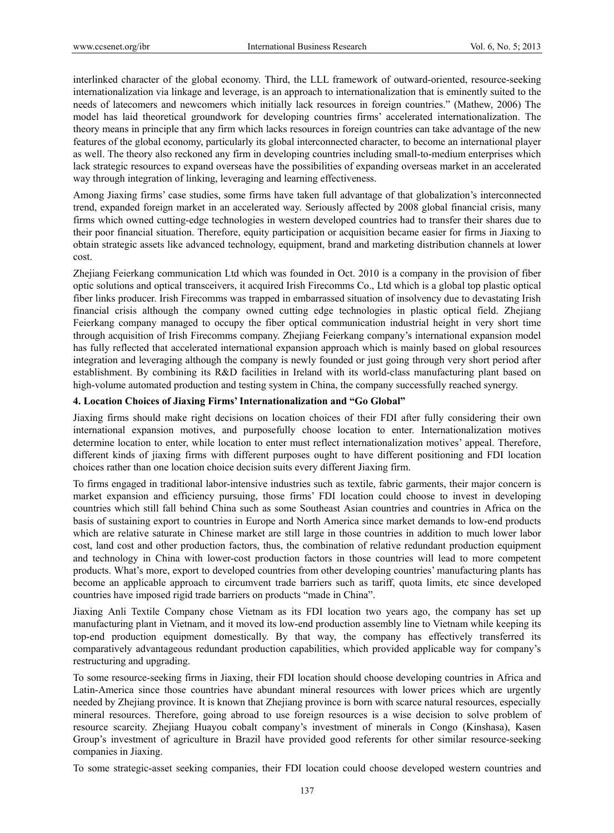interlinked character of the global economy. Third, the LLL framework of outward-oriented, resource-seeking internationalization via linkage and leverage, is an approach to internationalization that is eminently suited to the needs of latecomers and newcomers which initially lack resources in foreign countries." (Mathew, 2006) The model has laid theoretical groundwork for developing countries firms' accelerated internationalization. The theory means in principle that any firm which lacks resources in foreign countries can take advantage of the new features of the global economy, particularly its global interconnected character, to become an international player as well. The theory also reckoned any firm in developing countries including small-to-medium enterprises which lack strategic resources to expand overseas have the possibilities of expanding overseas market in an accelerated way through integration of linking, leveraging and learning effectiveness.

Among Jiaxing firms' case studies, some firms have taken full advantage of that globalization's interconnected trend, expanded foreign market in an accelerated way. Seriously affected by 2008 global financial crisis, many firms which owned cutting-edge technologies in western developed countries had to transfer their shares due to their poor financial situation. Therefore, equity participation or acquisition became easier for firms in Jiaxing to obtain strategic assets like advanced technology, equipment, brand and marketing distribution channels at lower cost.

Zhejiang Feierkang communication Ltd which was founded in Oct. 2010 is a company in the provision of fiber optic solutions and optical transceivers, it acquired Irish Firecomms Co., Ltd which is a global top plastic optical fiber links producer. Irish Firecomms was trapped in embarrassed situation of insolvency due to devastating Irish financial crisis although the company owned cutting edge technologies in plastic optical field. Zhejiang Feierkang company managed to occupy the fiber optical communication industrial height in very short time through acquisition of Irish Firecomms company. Zhejiang Feierkang company's international expansion model has fully reflected that accelerated international expansion approach which is mainly based on global resources integration and leveraging although the company is newly founded or just going through very short period after establishment. By combining its R&D facilities in Ireland with its world-class manufacturing plant based on high-volume automated production and testing system in China, the company successfully reached synergy.

## **4. Location Choices of Jiaxing Firms' Internationalization and "Go Global"**

Jiaxing firms should make right decisions on location choices of their FDI after fully considering their own international expansion motives, and purposefully choose location to enter. Internationalization motives determine location to enter, while location to enter must reflect internationalization motives' appeal. Therefore, different kinds of jiaxing firms with different purposes ought to have different positioning and FDI location choices rather than one location choice decision suits every different Jiaxing firm.

To firms engaged in traditional labor-intensive industries such as textile, fabric garments, their major concern is market expansion and efficiency pursuing, those firms' FDI location could choose to invest in developing countries which still fall behind China such as some Southeast Asian countries and countries in Africa on the basis of sustaining export to countries in Europe and North America since market demands to low-end products which are relative saturate in Chinese market are still large in those countries in addition to much lower labor cost, land cost and other production factors, thus, the combination of relative redundant production equipment and technology in China with lower-cost production factors in those countries will lead to more competent products. What's more, export to developed countries from other developing countries' manufacturing plants has become an applicable approach to circumvent trade barriers such as tariff, quota limits, etc since developed countries have imposed rigid trade barriers on products "made in China".

Jiaxing Anli Textile Company chose Vietnam as its FDI location two years ago, the company has set up manufacturing plant in Vietnam, and it moved its low-end production assembly line to Vietnam while keeping its top-end production equipment domestically. By that way, the company has effectively transferred its comparatively advantageous redundant production capabilities, which provided applicable way for company's restructuring and upgrading.

To some resource-seeking firms in Jiaxing, their FDI location should choose developing countries in Africa and Latin-America since those countries have abundant mineral resources with lower prices which are urgently needed by Zhejiang province. It is known that Zhejiang province is born with scarce natural resources, especially mineral resources. Therefore, going abroad to use foreign resources is a wise decision to solve problem of resource scarcity. Zhejiang Huayou cobalt company's investment of minerals in Congo (Kinshasa), Kasen Group's investment of agriculture in Brazil have provided good referents for other similar resource-seeking companies in Jiaxing.

To some strategic-asset seeking companies, their FDI location could choose developed western countries and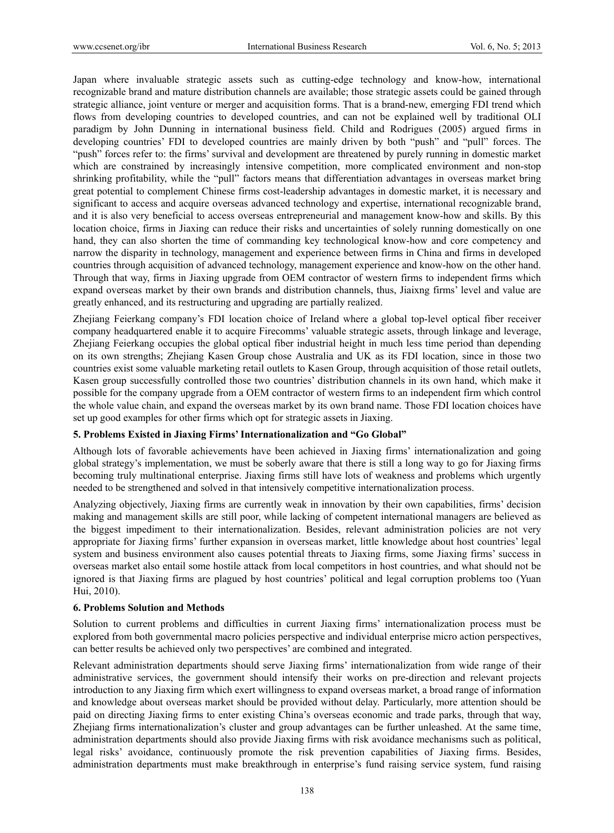Japan where invaluable strategic assets such as cutting-edge technology and know-how, international recognizable brand and mature distribution channels are available; those strategic assets could be gained through strategic alliance, joint venture or merger and acquisition forms. That is a brand-new, emerging FDI trend which flows from developing countries to developed countries, and can not be explained well by traditional OLI paradigm by John Dunning in international business field. Child and Rodrigues (2005) argued firms in developing countries' FDI to developed countries are mainly driven by both "push" and "pull" forces. The "push" forces refer to: the firms' survival and development are threatened by purely running in domestic market which are constrained by increasingly intensive competition, more complicated environment and non-stop shrinking profitability, while the "pull" factors means that differentiation advantages in overseas market bring great potential to complement Chinese firms cost-leadership advantages in domestic market, it is necessary and significant to access and acquire overseas advanced technology and expertise, international recognizable brand, and it is also very beneficial to access overseas entrepreneurial and management know-how and skills. By this location choice, firms in Jiaxing can reduce their risks and uncertainties of solely running domestically on one hand, they can also shorten the time of commanding key technological know-how and core competency and narrow the disparity in technology, management and experience between firms in China and firms in developed countries through acquisition of advanced technology, management experience and know-how on the other hand. Through that way, firms in Jiaxing upgrade from OEM contractor of western firms to independent firms which expand overseas market by their own brands and distribution channels, thus, Jiaixng firms' level and value are greatly enhanced, and its restructuring and upgrading are partially realized.

Zhejiang Feierkang company's FDI location choice of Ireland where a global top-level optical fiber receiver company headquartered enable it to acquire Firecomms' valuable strategic assets, through linkage and leverage, Zhejiang Feierkang occupies the global optical fiber industrial height in much less time period than depending on its own strengths; Zhejiang Kasen Group chose Australia and UK as its FDI location, since in those two countries exist some valuable marketing retail outlets to Kasen Group, through acquisition of those retail outlets, Kasen group successfully controlled those two countries' distribution channels in its own hand, which make it possible for the company upgrade from a OEM contractor of western firms to an independent firm which control the whole value chain, and expand the overseas market by its own brand name. Those FDI location choices have set up good examples for other firms which opt for strategic assets in Jiaxing.

## **5. Problems Existed in Jiaxing Firms' Internationalization and "Go Global"**

Although lots of favorable achievements have been achieved in Jiaxing firms' internationalization and going global strategy's implementation, we must be soberly aware that there is still a long way to go for Jiaxing firms becoming truly multinational enterprise. Jiaxing firms still have lots of weakness and problems which urgently needed to be strengthened and solved in that intensively competitive internationalization process.

Analyzing objectively, Jiaxing firms are currently weak in innovation by their own capabilities, firms' decision making and management skills are still poor, while lacking of competent international managers are believed as the biggest impediment to their internationalization. Besides, relevant administration policies are not very appropriate for Jiaxing firms' further expansion in overseas market, little knowledge about host countries' legal system and business environment also causes potential threats to Jiaxing firms, some Jiaxing firms' success in overseas market also entail some hostile attack from local competitors in host countries, and what should not be ignored is that Jiaxing firms are plagued by host countries' political and legal corruption problems too (Yuan Hui, 2010).

#### **6. Problems Solution and Methods**

Solution to current problems and difficulties in current Jiaxing firms' internationalization process must be explored from both governmental macro policies perspective and individual enterprise micro action perspectives, can better results be achieved only two perspectives' are combined and integrated.

Relevant administration departments should serve Jiaxing firms' internationalization from wide range of their administrative services, the government should intensify their works on pre-direction and relevant projects introduction to any Jiaxing firm which exert willingness to expand overseas market, a broad range of information and knowledge about overseas market should be provided without delay. Particularly, more attention should be paid on directing Jiaxing firms to enter existing China's overseas economic and trade parks, through that way, Zhejiang firms internationalization's cluster and group advantages can be further unleashed. At the same time, administration departments should also provide Jiaxing firms with risk avoidance mechanisms such as political, legal risks' avoidance, continuously promote the risk prevention capabilities of Jiaxing firms. Besides, administration departments must make breakthrough in enterprise's fund raising service system, fund raising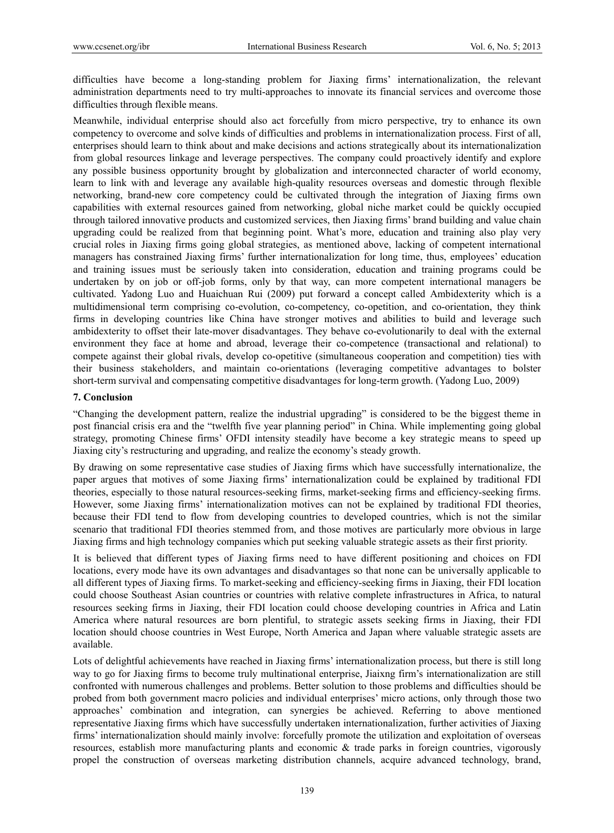difficulties have become a long-standing problem for Jiaxing firms' internationalization, the relevant administration departments need to try multi-approaches to innovate its financial services and overcome those difficulties through flexible means.

Meanwhile, individual enterprise should also act forcefully from micro perspective, try to enhance its own competency to overcome and solve kinds of difficulties and problems in internationalization process. First of all, enterprises should learn to think about and make decisions and actions strategically about its internationalization from global resources linkage and leverage perspectives. The company could proactively identify and explore any possible business opportunity brought by globalization and interconnected character of world economy, learn to link with and leverage any available high-quality resources overseas and domestic through flexible networking, brand-new core competency could be cultivated through the integration of Jiaxing firms own capabilities with external resources gained from networking, global niche market could be quickly occupied through tailored innovative products and customized services, then Jiaxing firms' brand building and value chain upgrading could be realized from that beginning point. What's more, education and training also play very crucial roles in Jiaxing firms going global strategies, as mentioned above, lacking of competent international managers has constrained Jiaxing firms' further internationalization for long time, thus, employees' education and training issues must be seriously taken into consideration, education and training programs could be undertaken by on job or off-job forms, only by that way, can more competent international managers be cultivated. Yadong Luo and Huaichuan Rui (2009) put forward a concept called Ambidexterity which is a multidimensional term comprising co-evolution, co-competency, co-opetition, and co-orientation, they think firms in developing countries like China have stronger motives and abilities to build and leverage such ambidexterity to offset their late-mover disadvantages. They behave co-evolutionarily to deal with the external environment they face at home and abroad, leverage their co-competence (transactional and relational) to compete against their global rivals, develop co-opetitive (simultaneous cooperation and competition) ties with their business stakeholders, and maintain co-orientations (leveraging competitive advantages to bolster short-term survival and compensating competitive disadvantages for long-term growth. (Yadong Luo, 2009)

#### **7. Conclusion**

"Changing the development pattern, realize the industrial upgrading" is considered to be the biggest theme in post financial crisis era and the "twelfth five year planning period" in China. While implementing going global strategy, promoting Chinese firms' OFDI intensity steadily have become a key strategic means to speed up Jiaxing city's restructuring and upgrading, and realize the economy's steady growth.

By drawing on some representative case studies of Jiaxing firms which have successfully internationalize, the paper argues that motives of some Jiaxing firms' internationalization could be explained by traditional FDI theories, especially to those natural resources-seeking firms, market-seeking firms and efficiency-seeking firms. However, some Jiaxing firms' internationalization motives can not be explained by traditional FDI theories, because their FDI tend to flow from developing countries to developed countries, which is not the similar scenario that traditional FDI theories stemmed from, and those motives are particularly more obvious in large Jiaxing firms and high technology companies which put seeking valuable strategic assets as their first priority.

It is believed that different types of Jiaxing firms need to have different positioning and choices on FDI locations, every mode have its own advantages and disadvantages so that none can be universally applicable to all different types of Jiaxing firms. To market-seeking and efficiency-seeking firms in Jiaxing, their FDI location could choose Southeast Asian countries or countries with relative complete infrastructures in Africa, to natural resources seeking firms in Jiaxing, their FDI location could choose developing countries in Africa and Latin America where natural resources are born plentiful, to strategic assets seeking firms in Jiaxing, their FDI location should choose countries in West Europe, North America and Japan where valuable strategic assets are available.

Lots of delightful achievements have reached in Jiaxing firms' internationalization process, but there is still long way to go for Jiaxing firms to become truly multinational enterprise, Jiaixng firm's internationalization are still confronted with numerous challenges and problems. Better solution to those problems and difficulties should be probed from both government macro policies and individual enterprises' micro actions, only through those two approaches' combination and integration, can synergies be achieved. Referring to above mentioned representative Jiaxing firms which have successfully undertaken internationalization, further activities of Jiaxing firms' internationalization should mainly involve: forcefully promote the utilization and exploitation of overseas resources, establish more manufacturing plants and economic & trade parks in foreign countries, vigorously propel the construction of overseas marketing distribution channels, acquire advanced technology, brand,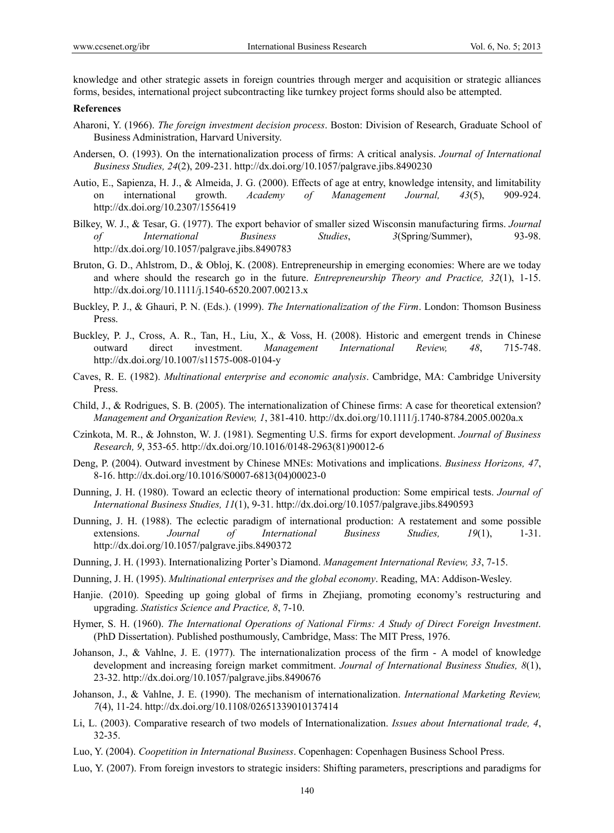knowledge and other strategic assets in foreign countries through merger and acquisition or strategic alliances forms, besides, international project subcontracting like turnkey project forms should also be attempted.

#### **References**

- Aharoni, Y. (1966). *The foreign investment decision process*. Boston: Division of Research, Graduate School of Business Administration, Harvard University.
- Andersen, O. (1993). On the internationalization process of firms: A critical analysis. *Journal of International Business Studies, 24*(2), 209-231. http://dx.doi.org/10.1057/palgrave.jibs.8490230
- Autio, E., Sapienza, H. J., & Almeida, J. G. (2000). Effects of age at entry, knowledge intensity, and limitability on international growth. *Academy of Management Journal, 43*(5), 909-924. http://dx.doi.org/10.2307/1556419
- Bilkey, W. J., & Tesar, G. (1977). The export behavior of smaller sized Wisconsin manufacturing firms. *Journal of International Business Studies*, *3*(Spring/Summer), 93-98. http://dx.doi.org/10.1057/palgrave.jibs.8490783
- Bruton, G. D., Ahlstrom, D., & Obloj, K. (2008). Entrepreneurship in emerging economies: Where are we today and where should the research go in the future. *Entrepreneurship Theory and Practice, 32*(1), 1-15. http://dx.doi.org/10.1111/j.1540-6520.2007.00213.x
- Buckley, P. J., & Ghauri, P. N. (Eds.). (1999). *The Internationalization of the Firm*. London: Thomson Business Press.
- Buckley, P. J., Cross, A. R., Tan, H., Liu, X., & Voss, H. (2008). Historic and emergent trends in Chinese outward direct investment. *Management International Review, 48*, 715-748. http://dx.doi.org/10.1007/s11575-008-0104-y
- Caves, R. E. (1982). *Multinational enterprise and economic analysis*. Cambridge, MA: Cambridge University Press.
- Child, J., & Rodrigues, S. B. (2005). The internationalization of Chinese firms: A case for theoretical extension? *Management and Organization Review, 1*, 381-410. http://dx.doi.org/10.1111/j.1740-8784.2005.0020a.x
- Czinkota, M. R., & Johnston, W. J. (1981). Segmenting U.S. firms for export development. *Journal of Business Research, 9*, 353-65. http://dx.doi.org/10.1016/0148-2963(81)90012-6
- Deng, P. (2004). Outward investment by Chinese MNEs: Motivations and implications. *Business Horizons, 47*, 8-16. http://dx.doi.org/10.1016/S0007-6813(04)00023-0
- Dunning, J. H. (1980). Toward an eclectic theory of international production: Some empirical tests. *Journal of International Business Studies, 11*(1), 9-31. http://dx.doi.org/10.1057/palgrave.jibs.8490593
- Dunning, J. H. (1988). The eclectic paradigm of international production: A restatement and some possible extensions. *Journal of International Business Studies, 19*(1), 1-31. http://dx.doi.org/10.1057/palgrave.jibs.8490372
- Dunning, J. H. (1993). Internationalizing Porter's Diamond. *Management International Review, 33*, 7-15.
- Dunning, J. H. (1995). *Multinational enterprises and the global economy*. Reading, MA: Addison-Wesley.
- Hanjie. (2010). Speeding up going global of firms in Zhejiang, promoting economy's restructuring and upgrading. *Statistics Science and Practice, 8*, 7-10.
- Hymer, S. H. (1960). *The International Operations of National Firms: A Study of Direct Foreign Investment*. (PhD Dissertation). Published posthumously, Cambridge, Mass: The MIT Press, 1976.
- Johanson, J., & Vahlne, J. E. (1977). The internationalization process of the firm A model of knowledge development and increasing foreign market commitment. *Journal of International Business Studies, 8*(1), 23-32. http://dx.doi.org/10.1057/palgrave.jibs.8490676
- Johanson, J., & Vahlne, J. E. (1990). The mechanism of internationalization. *International Marketing Review, 7*(4), 11-24. http://dx.doi.org/10.1108/02651339010137414
- Li, L. (2003). Comparative research of two models of Internationalization. *Issues about International trade, 4*, 32-35.
- Luo, Y. (2004). *Coopetition in International Business*. Copenhagen: Copenhagen Business School Press.
- Luo, Y. (2007). From foreign investors to strategic insiders: Shifting parameters, prescriptions and paradigms for